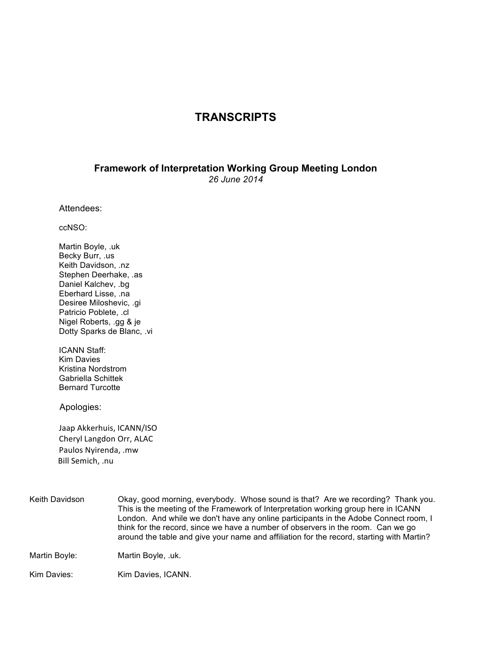## **TRANSCRIPTS**

## **Framework of Interpretation Working Group Meeting London** *26 June 2014*

Attendees:

ccNSO:

Martin Boyle, .uk Becky Burr, .us Keith Davidson, .nz Stephen Deerhake, .as Daniel Kalchev, .bg Eberhard Lisse, .na Desiree Miloshevic, .gi Patricio Poblete, .cl Nigel Roberts, .gg & je Dotty Sparks de Blanc, .vi

ICANN Staff: Kim Davies Kristina Nordstrom Gabriella Schittek Bernard Turcotte

Apologies:

Jaap Akkerhuis, ICANN/ISO Cheryl Langdon Orr, ALAC Paulos Nyirenda, .mw Bill Semich, .nu

| Keith Davidson | Okay, good morning, everybody. Whose sound is that? Are we recording? Thank you.<br>This is the meeting of the Framework of Interpretation working group here in ICANN<br>London. And while we don't have any online participants in the Adobe Connect room, I<br>think for the record, since we have a number of observers in the room. Can we go<br>around the table and give your name and affiliation for the record, starting with Martin? |
|----------------|-------------------------------------------------------------------------------------------------------------------------------------------------------------------------------------------------------------------------------------------------------------------------------------------------------------------------------------------------------------------------------------------------------------------------------------------------|
| Martin Boyle:  | Martin Boyle, .uk.                                                                                                                                                                                                                                                                                                                                                                                                                              |
| Kim Davies:    | Kim Davies, ICANN.                                                                                                                                                                                                                                                                                                                                                                                                                              |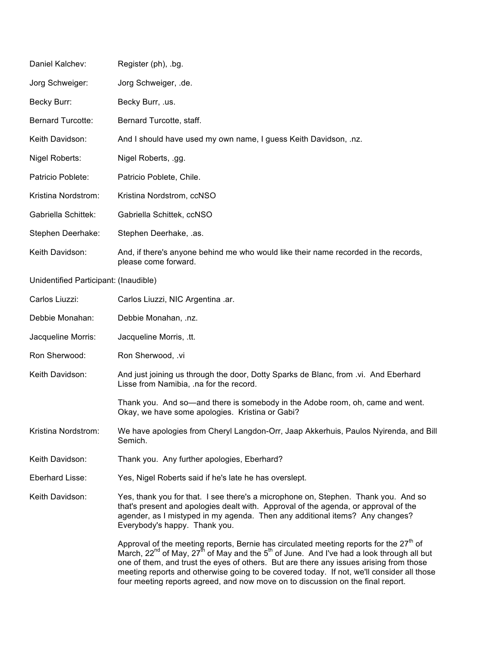| Daniel Kalchev:                       | Register (ph), .bg.                                                                                                                                                                                                                                                                                                                                                                                                                                                                     |
|---------------------------------------|-----------------------------------------------------------------------------------------------------------------------------------------------------------------------------------------------------------------------------------------------------------------------------------------------------------------------------------------------------------------------------------------------------------------------------------------------------------------------------------------|
| Jorg Schweiger:                       | Jorg Schweiger, .de.                                                                                                                                                                                                                                                                                                                                                                                                                                                                    |
| Becky Burr:                           | Becky Burr, .us.                                                                                                                                                                                                                                                                                                                                                                                                                                                                        |
| <b>Bernard Turcotte:</b>              | Bernard Turcotte, staff.                                                                                                                                                                                                                                                                                                                                                                                                                                                                |
| Keith Davidson:                       | And I should have used my own name, I guess Keith Davidson, .nz.                                                                                                                                                                                                                                                                                                                                                                                                                        |
| Nigel Roberts:                        | Nigel Roberts, .gg.                                                                                                                                                                                                                                                                                                                                                                                                                                                                     |
| Patricio Poblete:                     | Patricio Poblete, Chile.                                                                                                                                                                                                                                                                                                                                                                                                                                                                |
| Kristina Nordstrom:                   | Kristina Nordstrom, ccNSO                                                                                                                                                                                                                                                                                                                                                                                                                                                               |
| Gabriella Schittek:                   | Gabriella Schittek, ccNSO                                                                                                                                                                                                                                                                                                                                                                                                                                                               |
| Stephen Deerhake:                     | Stephen Deerhake, .as.                                                                                                                                                                                                                                                                                                                                                                                                                                                                  |
| Keith Davidson:                       | And, if there's anyone behind me who would like their name recorded in the records,<br>please come forward.                                                                                                                                                                                                                                                                                                                                                                             |
| Unidentified Participant: (Inaudible) |                                                                                                                                                                                                                                                                                                                                                                                                                                                                                         |
| Carlos Liuzzi:                        | Carlos Liuzzi, NIC Argentina .ar.                                                                                                                                                                                                                                                                                                                                                                                                                                                       |
| Debbie Monahan:                       | Debbie Monahan, .nz.                                                                                                                                                                                                                                                                                                                                                                                                                                                                    |
| Jacqueline Morris:                    | Jacqueline Morris, .tt.                                                                                                                                                                                                                                                                                                                                                                                                                                                                 |
| Ron Sherwood:                         | Ron Sherwood, .vi                                                                                                                                                                                                                                                                                                                                                                                                                                                                       |
| Keith Davidson:                       | And just joining us through the door, Dotty Sparks de Blanc, from .vi. And Eberhard<br>Lisse from Namibia, .na for the record.                                                                                                                                                                                                                                                                                                                                                          |
|                                       | Thank you. And so—and there is somebody in the Adobe room, oh, came and went.<br>Okay, we have some apologies. Kristina or Gabi?                                                                                                                                                                                                                                                                                                                                                        |
| Kristina Nordstrom:                   | We have apologies from Cheryl Langdon-Orr, Jaap Akkerhuis, Paulos Nyirenda, and Bill<br>Semich.                                                                                                                                                                                                                                                                                                                                                                                         |
| Keith Davidson:                       | Thank you. Any further apologies, Eberhard?                                                                                                                                                                                                                                                                                                                                                                                                                                             |
| Eberhard Lisse:                       | Yes, Nigel Roberts said if he's late he has overslept.                                                                                                                                                                                                                                                                                                                                                                                                                                  |
| Keith Davidson:                       | Yes, thank you for that. I see there's a microphone on, Stephen. Thank you. And so<br>that's present and apologies dealt with. Approval of the agenda, or approval of the<br>agender, as I mistyped in my agenda. Then any additional items? Any changes?<br>Everybody's happy. Thank you.                                                                                                                                                                                              |
|                                       | Approval of the meeting reports, Bernie has circulated meeting reports for the 27 <sup>th</sup> of<br>March, $22^{nd}$ of May, $27^{th}$ of May and the $5^{th}$ of June. And I've had a look through all but<br>one of them, and trust the eyes of others. But are there any issues arising from those<br>meeting reports and otherwise going to be covered today. If not, we'll consider all those<br>four meeting reports agreed, and now move on to discussion on the final report. |
|                                       |                                                                                                                                                                                                                                                                                                                                                                                                                                                                                         |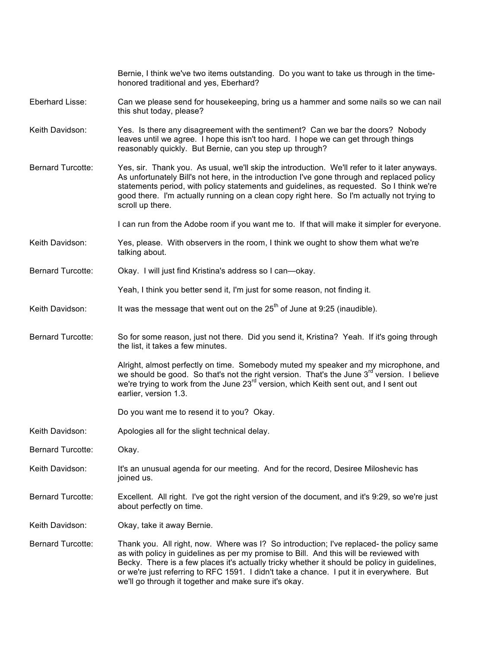|                          | Bernie, I think we've two items outstanding. Do you want to take us through in the time-<br>honored traditional and yes, Eberhard?                                                                                                                                                                                                                                                                                                     |
|--------------------------|----------------------------------------------------------------------------------------------------------------------------------------------------------------------------------------------------------------------------------------------------------------------------------------------------------------------------------------------------------------------------------------------------------------------------------------|
| Eberhard Lisse:          | Can we please send for housekeeping, bring us a hammer and some nails so we can nail<br>this shut today, please?                                                                                                                                                                                                                                                                                                                       |
| Keith Davidson:          | Yes. Is there any disagreement with the sentiment? Can we bar the doors? Nobody<br>leaves until we agree. I hope this isn't too hard. I hope we can get through things<br>reasonably quickly. But Bernie, can you step up through?                                                                                                                                                                                                     |
| <b>Bernard Turcotte:</b> | Yes, sir. Thank you. As usual, we'll skip the introduction. We'll refer to it later anyways.<br>As unfortunately Bill's not here, in the introduction I've gone through and replaced policy<br>statements period, with policy statements and guidelines, as requested. So I think we're<br>good there. I'm actually running on a clean copy right here. So I'm actually not trying to<br>scroll up there.                              |
|                          | I can run from the Adobe room if you want me to. If that will make it simpler for everyone.                                                                                                                                                                                                                                                                                                                                            |
| Keith Davidson:          | Yes, please. With observers in the room, I think we ought to show them what we're<br>talking about.                                                                                                                                                                                                                                                                                                                                    |
| <b>Bernard Turcotte:</b> | Okay. I will just find Kristina's address so I can-okay.                                                                                                                                                                                                                                                                                                                                                                               |
|                          | Yeah, I think you better send it, I'm just for some reason, not finding it.                                                                                                                                                                                                                                                                                                                                                            |
| Keith Davidson:          | It was the message that went out on the $25th$ of June at 9:25 (inaudible).                                                                                                                                                                                                                                                                                                                                                            |
| <b>Bernard Turcotte:</b> | So for some reason, just not there. Did you send it, Kristina? Yeah. If it's going through<br>the list, it takes a few minutes.                                                                                                                                                                                                                                                                                                        |
|                          | Alright, almost perfectly on time. Somebody muted my speaker and my microphone, and<br>we should be good. So that's not the right version. That's the June 3 <sup>rd</sup> version. I believe<br>we're trying to work from the June 23rd version, which Keith sent out, and I sent out<br>earlier, version 1.3.                                                                                                                        |
|                          | Do you want me to resend it to you? Okay.                                                                                                                                                                                                                                                                                                                                                                                              |
| Keith Davidson:          | Apologies all for the slight technical delay.                                                                                                                                                                                                                                                                                                                                                                                          |
| Bernard Turcotte:        | Okay.                                                                                                                                                                                                                                                                                                                                                                                                                                  |
| Keith Davidson:          | It's an unusual agenda for our meeting. And for the record, Desiree Miloshevic has<br>joined us.                                                                                                                                                                                                                                                                                                                                       |
| <b>Bernard Turcotte:</b> | Excellent. All right. I've got the right version of the document, and it's 9:29, so we're just<br>about perfectly on time.                                                                                                                                                                                                                                                                                                             |
| Keith Davidson:          | Okay, take it away Bernie.                                                                                                                                                                                                                                                                                                                                                                                                             |
| <b>Bernard Turcotte:</b> | Thank you. All right, now. Where was I? So introduction; I've replaced- the policy same<br>as with policy in guidelines as per my promise to Bill. And this will be reviewed with<br>Becky. There is a few places it's actually tricky whether it should be policy in guidelines,<br>or we're just referring to RFC 1591. I didn't take a chance. I put it in everywhere. But<br>we'll go through it together and make sure it's okay. |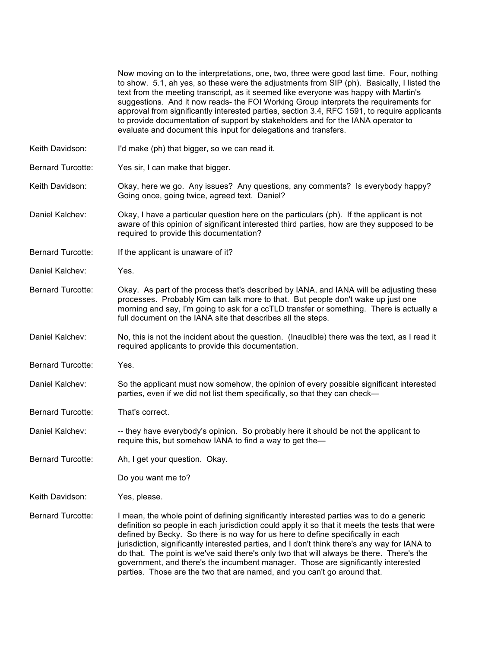|                          | Now moving on to the interpretations, one, two, three were good last time. Four, nothing<br>to show. 5.1, ah yes, so these were the adjustments from SIP (ph). Basically, I listed the<br>text from the meeting transcript, as it seemed like everyone was happy with Martin's<br>suggestions. And it now reads- the FOI Working Group interprets the requirements for<br>approval from significantly interested parties, section 3.4, RFC 1591, to require applicants<br>to provide documentation of support by stakeholders and for the IANA operator to<br>evaluate and document this input for delegations and transfers.              |
|--------------------------|--------------------------------------------------------------------------------------------------------------------------------------------------------------------------------------------------------------------------------------------------------------------------------------------------------------------------------------------------------------------------------------------------------------------------------------------------------------------------------------------------------------------------------------------------------------------------------------------------------------------------------------------|
| Keith Davidson:          | I'd make (ph) that bigger, so we can read it.                                                                                                                                                                                                                                                                                                                                                                                                                                                                                                                                                                                              |
| <b>Bernard Turcotte:</b> | Yes sir, I can make that bigger.                                                                                                                                                                                                                                                                                                                                                                                                                                                                                                                                                                                                           |
| Keith Davidson:          | Okay, here we go. Any issues? Any questions, any comments? Is everybody happy?<br>Going once, going twice, agreed text. Daniel?                                                                                                                                                                                                                                                                                                                                                                                                                                                                                                            |
| Daniel Kalchev:          | Okay, I have a particular question here on the particulars (ph). If the applicant is not<br>aware of this opinion of significant interested third parties, how are they supposed to be<br>required to provide this documentation?                                                                                                                                                                                                                                                                                                                                                                                                          |
| <b>Bernard Turcotte:</b> | If the applicant is unaware of it?                                                                                                                                                                                                                                                                                                                                                                                                                                                                                                                                                                                                         |
| Daniel Kalchev:          | Yes.                                                                                                                                                                                                                                                                                                                                                                                                                                                                                                                                                                                                                                       |
| <b>Bernard Turcotte:</b> | Okay. As part of the process that's described by IANA, and IANA will be adjusting these<br>processes. Probably Kim can talk more to that. But people don't wake up just one<br>morning and say, I'm going to ask for a ccTLD transfer or something. There is actually a<br>full document on the IANA site that describes all the steps.                                                                                                                                                                                                                                                                                                    |
| Daniel Kalchev:          | No, this is not the incident about the question. (Inaudible) there was the text, as I read it<br>required applicants to provide this documentation.                                                                                                                                                                                                                                                                                                                                                                                                                                                                                        |
| <b>Bernard Turcotte:</b> | Yes.                                                                                                                                                                                                                                                                                                                                                                                                                                                                                                                                                                                                                                       |
| Daniel Kalchev:          | So the applicant must now somehow, the opinion of every possible significant interested<br>parties, even if we did not list them specifically, so that they can check-                                                                                                                                                                                                                                                                                                                                                                                                                                                                     |
| <b>Bernard Turcotte:</b> | That's correct.                                                                                                                                                                                                                                                                                                                                                                                                                                                                                                                                                                                                                            |
| Daniel Kalchev:          | -- they have everybody's opinion. So probably here it should be not the applicant to<br>require this, but somehow IANA to find a way to get the-                                                                                                                                                                                                                                                                                                                                                                                                                                                                                           |
| <b>Bernard Turcotte:</b> | Ah, I get your question. Okay.                                                                                                                                                                                                                                                                                                                                                                                                                                                                                                                                                                                                             |
|                          | Do you want me to?                                                                                                                                                                                                                                                                                                                                                                                                                                                                                                                                                                                                                         |
| Keith Davidson:          | Yes, please.                                                                                                                                                                                                                                                                                                                                                                                                                                                                                                                                                                                                                               |
| <b>Bernard Turcotte:</b> | I mean, the whole point of defining significantly interested parties was to do a generic<br>definition so people in each jurisdiction could apply it so that it meets the tests that were<br>defined by Becky. So there is no way for us here to define specifically in each<br>jurisdiction, significantly interested parties, and I don't think there's any way for IANA to<br>do that. The point is we've said there's only two that will always be there. There's the<br>government, and there's the incumbent manager. Those are significantly interested<br>parties. Those are the two that are named, and you can't go around that. |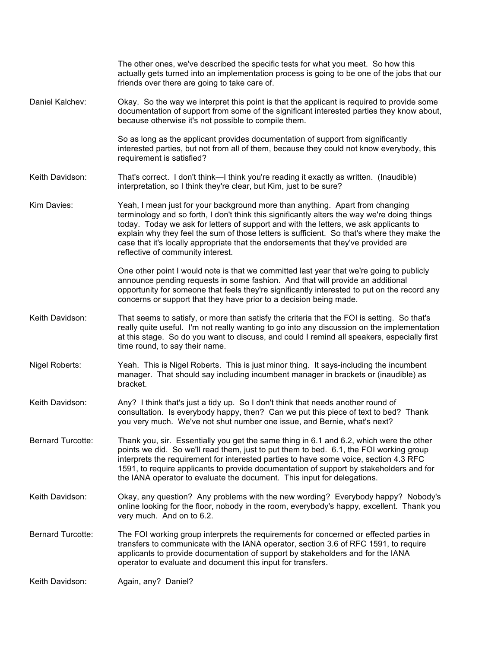|                          | The other ones, we've described the specific tests for what you meet. So how this<br>actually gets turned into an implementation process is going to be one of the jobs that our<br>friends over there are going to take care of.                                                                                                                                                                                                                                                                |
|--------------------------|--------------------------------------------------------------------------------------------------------------------------------------------------------------------------------------------------------------------------------------------------------------------------------------------------------------------------------------------------------------------------------------------------------------------------------------------------------------------------------------------------|
| Daniel Kalchev:          | Okay. So the way we interpret this point is that the applicant is required to provide some<br>documentation of support from some of the significant interested parties they know about,<br>because otherwise it's not possible to compile them.                                                                                                                                                                                                                                                  |
|                          | So as long as the applicant provides documentation of support from significantly<br>interested parties, but not from all of them, because they could not know everybody, this<br>requirement is satisfied?                                                                                                                                                                                                                                                                                       |
| Keith Davidson:          | That's correct. I don't think—I think you're reading it exactly as written. (Inaudible)<br>interpretation, so I think they're clear, but Kim, just to be sure?                                                                                                                                                                                                                                                                                                                                   |
| Kim Davies:              | Yeah, I mean just for your background more than anything. Apart from changing<br>terminology and so forth, I don't think this significantly alters the way we're doing things<br>today. Today we ask for letters of support and with the letters, we ask applicants to<br>explain why they feel the sum of those letters is sufficient. So that's where they make the<br>case that it's locally appropriate that the endorsements that they've provided are<br>reflective of community interest. |
|                          | One other point I would note is that we committed last year that we're going to publicly<br>announce pending requests in some fashion. And that will provide an additional<br>opportunity for someone that feels they're significantly interested to put on the record any<br>concerns or support that they have prior to a decision being made.                                                                                                                                                 |
| Keith Davidson:          | That seems to satisfy, or more than satisfy the criteria that the FOI is setting. So that's<br>really quite useful. I'm not really wanting to go into any discussion on the implementation<br>at this stage. So do you want to discuss, and could I remind all speakers, especially first<br>time round, to say their name.                                                                                                                                                                      |
| Nigel Roberts:           | Yeah. This is Nigel Roberts. This is just minor thing. It says-including the incumbent<br>manager. That should say including incumbent manager in brackets or (inaudible) as<br>bracket.                                                                                                                                                                                                                                                                                                         |
| Keith Davidson:          | Any? I think that's just a tidy up. So I don't think that needs another round of<br>consultation. Is everybody happy, then? Can we put this piece of text to bed? Thank<br>you very much. We've not shut number one issue, and Bernie, what's next?                                                                                                                                                                                                                                              |
| <b>Bernard Turcotte:</b> | Thank you, sir. Essentially you get the same thing in 6.1 and 6.2, which were the other<br>points we did. So we'll read them, just to put them to bed. 6.1, the FOI working group<br>interprets the requirement for interested parties to have some voice, section 4.3 RFC<br>1591, to require applicants to provide documentation of support by stakeholders and for<br>the IANA operator to evaluate the document. This input for delegations.                                                 |
| Keith Davidson:          | Okay, any question? Any problems with the new wording? Everybody happy? Nobody's<br>online looking for the floor, nobody in the room, everybody's happy, excellent. Thank you<br>very much. And on to 6.2.                                                                                                                                                                                                                                                                                       |
| <b>Bernard Turcotte:</b> | The FOI working group interprets the requirements for concerned or effected parties in<br>transfers to communicate with the IANA operator, section 3.6 of RFC 1591, to require<br>applicants to provide documentation of support by stakeholders and for the IANA<br>operator to evaluate and document this input for transfers.                                                                                                                                                                 |
| Keith Davidson:          | Again, any? Daniel?                                                                                                                                                                                                                                                                                                                                                                                                                                                                              |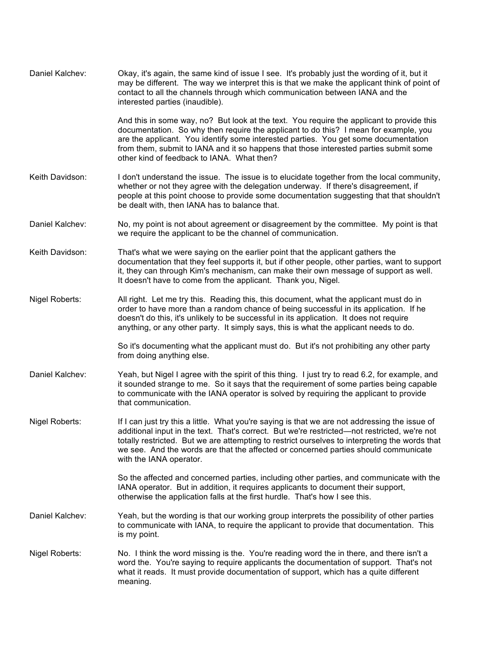| Daniel Kalchev: | Okay, it's again, the same kind of issue I see. It's probably just the wording of it, but it<br>may be different. The way we interpret this is that we make the applicant think of point of<br>contact to all the channels through which communication between IANA and the<br>interested parties (inaudible).                                                                                                     |
|-----------------|--------------------------------------------------------------------------------------------------------------------------------------------------------------------------------------------------------------------------------------------------------------------------------------------------------------------------------------------------------------------------------------------------------------------|
|                 | And this in some way, no? But look at the text. You require the applicant to provide this<br>documentation. So why then require the applicant to do this? I mean for example, you<br>are the applicant. You identify some interested parties. You get some documentation<br>from them, submit to IANA and it so happens that those interested parties submit some<br>other kind of feedback to IANA. What then?    |
| Keith Davidson: | I don't understand the issue. The issue is to elucidate together from the local community,<br>whether or not they agree with the delegation underway. If there's disagreement, if<br>people at this point choose to provide some documentation suggesting that that shouldn't<br>be dealt with, then IANA has to balance that.                                                                                     |
| Daniel Kalchev: | No, my point is not about agreement or disagreement by the committee. My point is that<br>we require the applicant to be the channel of communication.                                                                                                                                                                                                                                                             |
| Keith Davidson: | That's what we were saying on the earlier point that the applicant gathers the<br>documentation that they feel supports it, but if other people, other parties, want to support<br>it, they can through Kim's mechanism, can make their own message of support as well.<br>It doesn't have to come from the applicant. Thank you, Nigel.                                                                           |
| Nigel Roberts:  | All right. Let me try this. Reading this, this document, what the applicant must do in<br>order to have more than a random chance of being successful in its application. If he<br>doesn't do this, it's unlikely to be successful in its application. It does not require<br>anything, or any other party. It simply says, this is what the applicant needs to do.                                                |
|                 | So it's documenting what the applicant must do. But it's not prohibiting any other party<br>from doing anything else.                                                                                                                                                                                                                                                                                              |
| Daniel Kalchev: | Yeah, but Nigel I agree with the spirit of this thing. I just try to read 6.2, for example, and<br>it sounded strange to me. So it says that the requirement of some parties being capable<br>to communicate with the IANA operator is solved by requiring the applicant to provide<br>that communication.                                                                                                         |
| Nigel Roberts:  | If I can just try this a little. What you're saying is that we are not addressing the issue of<br>additional input in the text. That's correct. But we're restricted—not restricted, we're not<br>totally restricted. But we are attempting to restrict ourselves to interpreting the words that<br>we see. And the words are that the affected or concerned parties should communicate<br>with the IANA operator. |
|                 | So the affected and concerned parties, including other parties, and communicate with the<br>IANA operator. But in addition, it requires applicants to document their support,<br>otherwise the application falls at the first hurdle. That's how I see this.                                                                                                                                                       |
| Daniel Kalchev: | Yeah, but the wording is that our working group interprets the possibility of other parties<br>to communicate with IANA, to require the applicant to provide that documentation. This<br>is my point.                                                                                                                                                                                                              |
| Nigel Roberts:  | No. I think the word missing is the. You're reading word the in there, and there isn't a<br>word the. You're saying to require applicants the documentation of support. That's not<br>what it reads. It must provide documentation of support, which has a quite different<br>meaning.                                                                                                                             |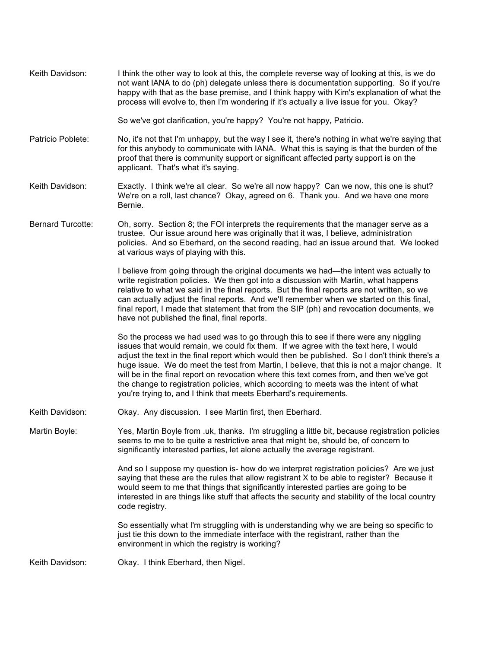| Keith Davidson:          | I think the other way to look at this, the complete reverse way of looking at this, is we do<br>not want IANA to do (ph) delegate unless there is documentation supporting. So if you're<br>happy with that as the base premise, and I think happy with Kim's explanation of what the<br>process will evolve to, then I'm wondering if it's actually a live issue for you. Okay?                                                                                                                                                                                                                                                     |
|--------------------------|--------------------------------------------------------------------------------------------------------------------------------------------------------------------------------------------------------------------------------------------------------------------------------------------------------------------------------------------------------------------------------------------------------------------------------------------------------------------------------------------------------------------------------------------------------------------------------------------------------------------------------------|
|                          | So we've got clarification, you're happy? You're not happy, Patricio.                                                                                                                                                                                                                                                                                                                                                                                                                                                                                                                                                                |
| Patricio Poblete:        | No, it's not that I'm unhappy, but the way I see it, there's nothing in what we're saying that<br>for this anybody to communicate with IANA. What this is saying is that the burden of the<br>proof that there is community support or significant affected party support is on the<br>applicant. That's what it's saying.                                                                                                                                                                                                                                                                                                           |
| Keith Davidson:          | Exactly. I think we're all clear. So we're all now happy? Can we now, this one is shut?<br>We're on a roll, last chance? Okay, agreed on 6. Thank you. And we have one more<br>Bernie.                                                                                                                                                                                                                                                                                                                                                                                                                                               |
| <b>Bernard Turcotte:</b> | Oh, sorry. Section 8; the FOI interprets the requirements that the manager serve as a<br>trustee. Our issue around here was originally that it was, I believe, administration<br>policies. And so Eberhard, on the second reading, had an issue around that. We looked<br>at various ways of playing with this.                                                                                                                                                                                                                                                                                                                      |
|                          | I believe from going through the original documents we had—the intent was actually to<br>write registration policies. We then got into a discussion with Martin, what happens<br>relative to what we said in the final reports. But the final reports are not written, so we<br>can actually adjust the final reports. And we'll remember when we started on this final,<br>final report, I made that statement that from the SIP (ph) and revocation documents, we<br>have not published the final, final reports.                                                                                                                  |
|                          | So the process we had used was to go through this to see if there were any niggling<br>issues that would remain, we could fix them. If we agree with the text here, I would<br>adjust the text in the final report which would then be published. So I don't think there's a<br>huge issue. We do meet the test from Martin, I believe, that this is not a major change. It<br>will be in the final report on revocation where this text comes from, and then we've got<br>the change to registration policies, which according to meets was the intent of what<br>you're trying to, and I think that meets Eberhard's requirements. |
| Keith Davidson:          | Okay. Any discussion. I see Martin first, then Eberhard.                                                                                                                                                                                                                                                                                                                                                                                                                                                                                                                                                                             |
| Martin Boyle:            | Yes, Martin Boyle from .uk, thanks. I'm struggling a little bit, because registration policies<br>seems to me to be quite a restrictive area that might be, should be, of concern to<br>significantly interested parties, let alone actually the average registrant.                                                                                                                                                                                                                                                                                                                                                                 |
|                          | And so I suppose my question is- how do we interpret registration policies? Are we just<br>saying that these are the rules that allow registrant X to be able to register? Because it<br>would seem to me that things that significantly interested parties are going to be<br>interested in are things like stuff that affects the security and stability of the local country<br>code registry.                                                                                                                                                                                                                                    |
|                          | So essentially what I'm struggling with is understanding why we are being so specific to<br>just tie this down to the immediate interface with the registrant, rather than the<br>environment in which the registry is working?                                                                                                                                                                                                                                                                                                                                                                                                      |
| Keith Davidson:          | Okay. I think Eberhard, then Nigel.                                                                                                                                                                                                                                                                                                                                                                                                                                                                                                                                                                                                  |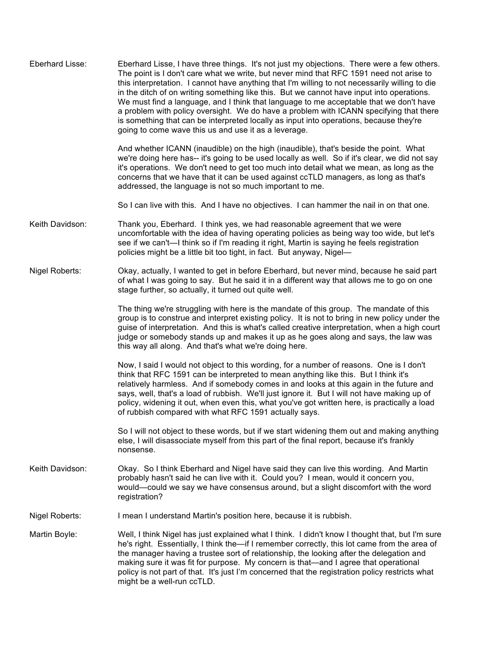| Eberhard Lisse: | Eberhard Lisse, I have three things. It's not just my objections. There were a few others.<br>The point is I don't care what we write, but never mind that RFC 1591 need not arise to<br>this interpretation. I cannot have anything that I'm willing to not necessarily willing to die<br>in the ditch of on writing something like this. But we cannot have input into operations.<br>We must find a language, and I think that language to me acceptable that we don't have<br>a problem with policy oversight. We do have a problem with ICANN specifying that there<br>is something that can be interpreted locally as input into operations, because they're<br>going to come wave this us and use it as a leverage.<br>And whether ICANN (inaudible) on the high (inaudible), that's beside the point. What<br>we're doing here has-- it's going to be used locally as well. So if it's clear, we did not say<br>it's operations. We don't need to get too much into detail what we mean, as long as the<br>concerns that we have that it can be used against ccTLD managers, as long as that's<br>addressed, the language is not so much important to me. |
|-----------------|-------------------------------------------------------------------------------------------------------------------------------------------------------------------------------------------------------------------------------------------------------------------------------------------------------------------------------------------------------------------------------------------------------------------------------------------------------------------------------------------------------------------------------------------------------------------------------------------------------------------------------------------------------------------------------------------------------------------------------------------------------------------------------------------------------------------------------------------------------------------------------------------------------------------------------------------------------------------------------------------------------------------------------------------------------------------------------------------------------------------------------------------------------------------|
|                 | So I can live with this. And I have no objectives. I can hammer the nail in on that one.                                                                                                                                                                                                                                                                                                                                                                                                                                                                                                                                                                                                                                                                                                                                                                                                                                                                                                                                                                                                                                                                          |
| Keith Davidson: | Thank you, Eberhard. I think yes, we had reasonable agreement that we were<br>uncomfortable with the idea of having operating policies as being way too wide, but let's<br>see if we can't—I think so if I'm reading it right, Martin is saying he feels registration<br>policies might be a little bit too tight, in fact. But anyway, Nigel-                                                                                                                                                                                                                                                                                                                                                                                                                                                                                                                                                                                                                                                                                                                                                                                                                    |
| Nigel Roberts:  | Okay, actually, I wanted to get in before Eberhard, but never mind, because he said part<br>of what I was going to say. But he said it in a different way that allows me to go on one<br>stage further, so actually, it turned out quite well.                                                                                                                                                                                                                                                                                                                                                                                                                                                                                                                                                                                                                                                                                                                                                                                                                                                                                                                    |
|                 | The thing we're struggling with here is the mandate of this group. The mandate of this<br>group is to construe and interpret existing policy. It is not to bring in new policy under the<br>guise of interpretation. And this is what's called creative interpretation, when a high court<br>judge or somebody stands up and makes it up as he goes along and says, the law was<br>this way all along. And that's what we're doing here.                                                                                                                                                                                                                                                                                                                                                                                                                                                                                                                                                                                                                                                                                                                          |
|                 | Now, I said I would not object to this wording, for a number of reasons. One is I don't<br>think that RFC 1591 can be interpreted to mean anything like this. But I think it's<br>relatively harmless. And if somebody comes in and looks at this again in the future and<br>says, well, that's a load of rubbish. We'll just ignore it. But I will not have making up of<br>policy, widening it out, when even this, what you've got written here, is practically a load<br>of rubbish compared with what RFC 1591 actually says.                                                                                                                                                                                                                                                                                                                                                                                                                                                                                                                                                                                                                                |
|                 | So I will not object to these words, but if we start widening them out and making anything<br>else, I will disassociate myself from this part of the final report, because it's frankly<br>nonsense.                                                                                                                                                                                                                                                                                                                                                                                                                                                                                                                                                                                                                                                                                                                                                                                                                                                                                                                                                              |
| Keith Davidson: | Okay. So I think Eberhard and Nigel have said they can live this wording. And Martin<br>probably hasn't said he can live with it. Could you? I mean, would it concern you,<br>would—could we say we have consensus around, but a slight discomfort with the word<br>registration?                                                                                                                                                                                                                                                                                                                                                                                                                                                                                                                                                                                                                                                                                                                                                                                                                                                                                 |
| Nigel Roberts:  | I mean I understand Martin's position here, because it is rubbish.                                                                                                                                                                                                                                                                                                                                                                                                                                                                                                                                                                                                                                                                                                                                                                                                                                                                                                                                                                                                                                                                                                |
| Martin Boyle:   | Well, I think Nigel has just explained what I think. I didn't know I thought that, but I'm sure<br>he's right. Essentially, I think the—if I remember correctly, this lot came from the area of<br>the manager having a trustee sort of relationship, the looking after the delegation and<br>making sure it was fit for purpose. My concern is that—and I agree that operational<br>policy is not part of that. It's just I'm concerned that the registration policy restricts what<br>might be a well-run ccTLD.                                                                                                                                                                                                                                                                                                                                                                                                                                                                                                                                                                                                                                                |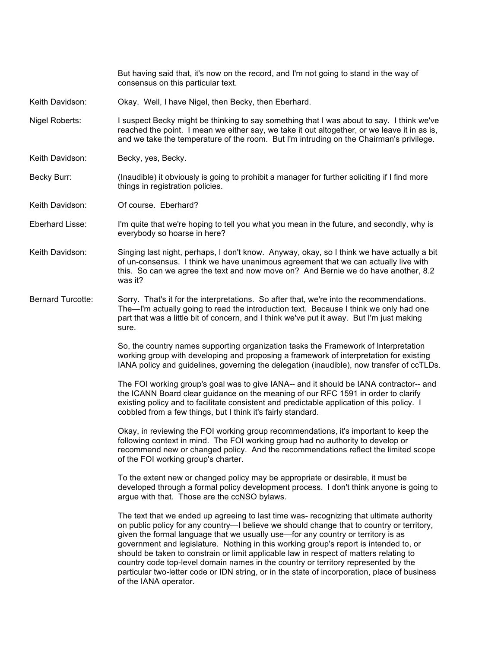consensus on this particular text. Keith Davidson: Okay. Well, I have Nigel, then Becky, then Eberhard. Nigel Roberts: I suspect Becky might be thinking to say something that I was about to say. I think we've reached the point. I mean we either say, we take it out altogether, or we leave it in as is, and we take the temperature of the room. But I'm intruding on the Chairman's privilege. Keith Davidson: Becky, yes, Becky. Becky Burr: (Inaudible) it obviously is going to prohibit a manager for further soliciting if I find more things in registration policies. Keith Davidson: Of course. Eberhard? Eberhard Lisse: I'm quite that we're hoping to tell you what you mean in the future, and secondly, why is everybody so hoarse in here? Keith Davidson: Singing last night, perhaps, I don't know. Anyway, okay, so I think we have actually a bit of un-consensus. I think we have unanimous agreement that we can actually live with this. So can we agree the text and now move on? And Bernie we do have another, 8.2 was it? Bernard Turcotte: Sorry. That's it for the interpretations. So after that, we're into the recommendations. The—I'm actually going to read the introduction text. Because I think we only had one part that was a little bit of concern, and I think we've put it away. But I'm just making sure. So, the country names supporting organization tasks the Framework of Interpretation working group with developing and proposing a framework of interpretation for existing IANA policy and guidelines, governing the delegation (inaudible), now transfer of ccTLDs. The FOI working group's goal was to give IANA-- and it should be IANA contractor-- and the ICANN Board clear guidance on the meaning of our RFC 1591 in order to clarify existing policy and to facilitate consistent and predictable application of this policy. I cobbled from a few things, but I think it's fairly standard. Okay, in reviewing the FOI working group recommendations, it's important to keep the following context in mind. The FOI working group had no authority to develop or recommend new or changed policy. And the recommendations reflect the limited scope of the FOI working group's charter. To the extent new or changed policy may be appropriate or desirable, it must be developed through a formal policy development process. I don't think anyone is going to argue with that. Those are the ccNSO bylaws. The text that we ended up agreeing to last time was- recognizing that ultimate authority on public policy for any country—I believe we should change that to country or territory, given the formal language that we usually use—for any country or territory is as government and legislature. Nothing in this working group's report is intended to, or should be taken to constrain or limit applicable law in respect of matters relating to country code top-level domain names in the country or territory represented by the particular two-letter code or IDN string, or in the state of incorporation, place of business of the IANA operator.

But having said that, it's now on the record, and I'm not going to stand in the way of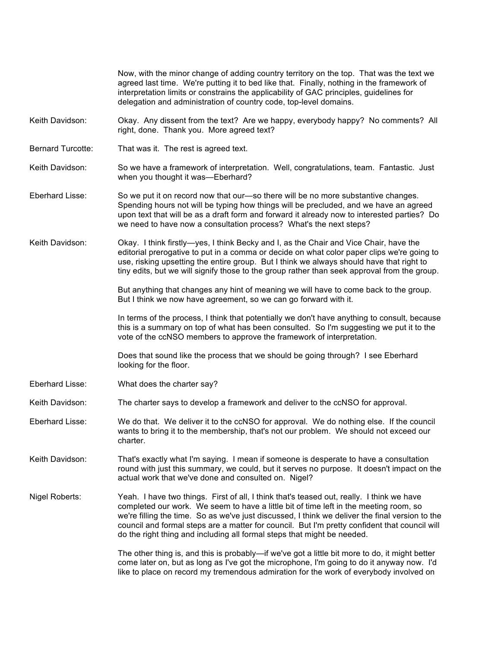|                          | Now, with the minor change of adding country territory on the top. That was the text we<br>agreed last time. We're putting it to bed like that. Finally, nothing in the framework of<br>interpretation limits or constrains the applicability of GAC principles, guidelines for<br>delegation and administration of country code, top-level domains.                                                                                                              |
|--------------------------|-------------------------------------------------------------------------------------------------------------------------------------------------------------------------------------------------------------------------------------------------------------------------------------------------------------------------------------------------------------------------------------------------------------------------------------------------------------------|
| Keith Davidson:          | Okay. Any dissent from the text? Are we happy, everybody happy? No comments? All<br>right, done. Thank you. More agreed text?                                                                                                                                                                                                                                                                                                                                     |
| <b>Bernard Turcotte:</b> | That was it. The rest is agreed text.                                                                                                                                                                                                                                                                                                                                                                                                                             |
| Keith Davidson:          | So we have a framework of interpretation. Well, congratulations, team. Fantastic. Just<br>when you thought it was-Eberhard?                                                                                                                                                                                                                                                                                                                                       |
| Eberhard Lisse:          | So we put it on record now that our—so there will be no more substantive changes.<br>Spending hours not will be typing how things will be precluded, and we have an agreed<br>upon text that will be as a draft form and forward it already now to interested parties? Do<br>we need to have now a consultation process? What's the next steps?                                                                                                                   |
| Keith Davidson:          | Okay. I think firstly—yes, I think Becky and I, as the Chair and Vice Chair, have the<br>editorial prerogative to put in a comma or decide on what color paper clips we're going to<br>use, risking upsetting the entire group. But I think we always should have that right to<br>tiny edits, but we will signify those to the group rather than seek approval from the group.                                                                                   |
|                          | But anything that changes any hint of meaning we will have to come back to the group.<br>But I think we now have agreement, so we can go forward with it.                                                                                                                                                                                                                                                                                                         |
|                          | In terms of the process, I think that potentially we don't have anything to consult, because<br>this is a summary on top of what has been consulted. So I'm suggesting we put it to the<br>vote of the ccNSO members to approve the framework of interpretation.                                                                                                                                                                                                  |
|                          | Does that sound like the process that we should be going through? I see Eberhard<br>looking for the floor.                                                                                                                                                                                                                                                                                                                                                        |
| Eberhard Lisse:          | What does the charter say?                                                                                                                                                                                                                                                                                                                                                                                                                                        |
| Keith Davidson:          | The charter says to develop a framework and deliver to the ccNSO for approval.                                                                                                                                                                                                                                                                                                                                                                                    |
| Eberhard Lisse:          | We do that. We deliver it to the ccNSO for approval. We do nothing else. If the council<br>wants to bring it to the membership, that's not our problem. We should not exceed our<br>charter.                                                                                                                                                                                                                                                                      |
| Keith Davidson:          | That's exactly what I'm saying. I mean if someone is desperate to have a consultation<br>round with just this summary, we could, but it serves no purpose. It doesn't impact on the<br>actual work that we've done and consulted on. Nigel?                                                                                                                                                                                                                       |
| Nigel Roberts:           | Yeah. I have two things. First of all, I think that's teased out, really. I think we have<br>completed our work. We seem to have a little bit of time left in the meeting room, so<br>we're filling the time. So as we've just discussed, I think we deliver the final version to the<br>council and formal steps are a matter for council. But I'm pretty confident that council will<br>do the right thing and including all formal steps that might be needed. |
|                          | The other thing is, and this is probably—if we've got a little bit more to do, it might better<br>come later on, but as long as I've got the microphone, I'm going to do it anyway now. I'd<br>like to place on record my tremendous admiration for the work of everybody involved on                                                                                                                                                                             |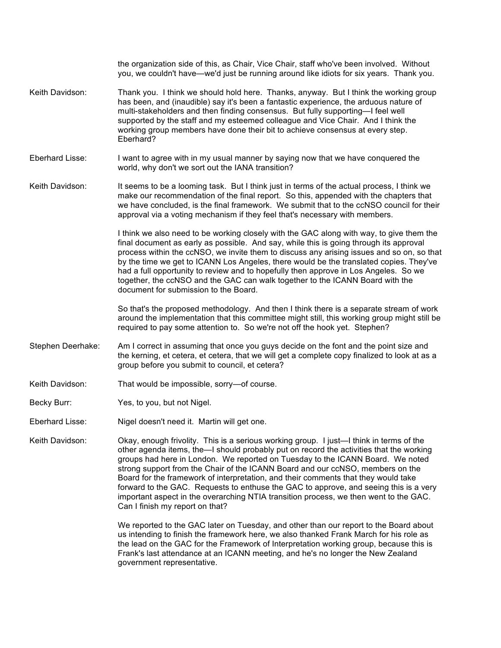|                   | the organization side of this, as Chair, Vice Chair, staff who've been involved. Without<br>you, we couldn't have—we'd just be running around like idiots for six years. Thank you.                                                                                                                                                                                                                                                                                                                                                                                                                                                                               |
|-------------------|-------------------------------------------------------------------------------------------------------------------------------------------------------------------------------------------------------------------------------------------------------------------------------------------------------------------------------------------------------------------------------------------------------------------------------------------------------------------------------------------------------------------------------------------------------------------------------------------------------------------------------------------------------------------|
| Keith Davidson:   | Thank you. I think we should hold here. Thanks, anyway. But I think the working group<br>has been, and (inaudible) say it's been a fantastic experience, the arduous nature of<br>multi-stakeholders and then finding consensus. But fully supporting-I feel well<br>supported by the staff and my esteemed colleague and Vice Chair. And I think the<br>working group members have done their bit to achieve consensus at every step.<br>Eberhard?                                                                                                                                                                                                               |
| Eberhard Lisse:   | I want to agree with in my usual manner by saying now that we have conquered the<br>world, why don't we sort out the IANA transition?                                                                                                                                                                                                                                                                                                                                                                                                                                                                                                                             |
| Keith Davidson:   | It seems to be a looming task. But I think just in terms of the actual process, I think we<br>make our recommendation of the final report. So this, appended with the chapters that<br>we have concluded, is the final framework. We submit that to the ccNSO council for their<br>approval via a voting mechanism if they feel that's necessary with members.                                                                                                                                                                                                                                                                                                    |
|                   | I think we also need to be working closely with the GAC along with way, to give them the<br>final document as early as possible. And say, while this is going through its approval<br>process within the ccNSO, we invite them to discuss any arising issues and so on, so that<br>by the time we get to ICANN Los Angeles, there would be the translated copies. They've<br>had a full opportunity to review and to hopefully then approve in Los Angeles. So we<br>together, the ccNSO and the GAC can walk together to the ICANN Board with the<br>document for submission to the Board.                                                                       |
|                   | So that's the proposed methodology. And then I think there is a separate stream of work<br>around the implementation that this committee might still, this working group might still be<br>required to pay some attention to. So we're not off the hook yet. Stephen?                                                                                                                                                                                                                                                                                                                                                                                             |
| Stephen Deerhake: | Am I correct in assuming that once you guys decide on the font and the point size and<br>the kerning, et cetera, et cetera, that we will get a complete copy finalized to look at as a<br>group before you submit to council, et cetera?                                                                                                                                                                                                                                                                                                                                                                                                                          |
| Keith Davidson:   | That would be impossible, sorry-of course.                                                                                                                                                                                                                                                                                                                                                                                                                                                                                                                                                                                                                        |
| Becky Burr:       | Yes, to you, but not Nigel.                                                                                                                                                                                                                                                                                                                                                                                                                                                                                                                                                                                                                                       |
| Eberhard Lisse:   | Nigel doesn't need it. Martin will get one.                                                                                                                                                                                                                                                                                                                                                                                                                                                                                                                                                                                                                       |
| Keith Davidson:   | Okay, enough frivolity. This is a serious working group. I just—I think in terms of the<br>other agenda items, the-I should probably put on record the activities that the working<br>groups had here in London. We reported on Tuesday to the ICANN Board. We noted<br>strong support from the Chair of the ICANN Board and our ccNSO, members on the<br>Board for the framework of interpretation, and their comments that they would take<br>forward to the GAC. Requests to enthuse the GAC to approve, and seeing this is a very<br>important aspect in the overarching NTIA transition process, we then went to the GAC.<br>Can I finish my report on that? |
|                   | We reported to the GAC later on Tuesday, and other than our report to the Board about<br>us intending to finish the framework here, we also thanked Frank March for his role as                                                                                                                                                                                                                                                                                                                                                                                                                                                                                   |

the lead on the GAC for the Framework of Interpretation working group, because this is Frank's last attendance at an ICANN meeting, and he's no longer the New Zealand government representative.